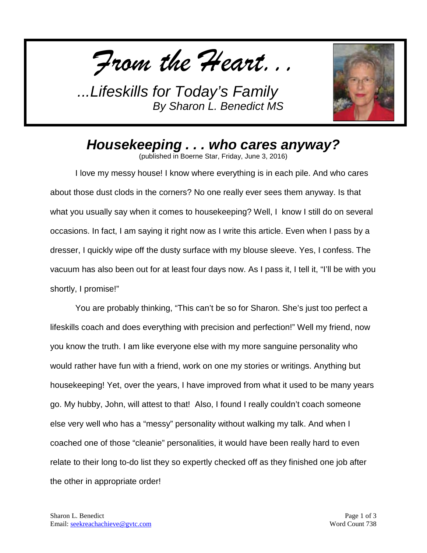*From the Heart...*



*Housekeeping . . . who cares anyway?*

(published in Boerne Star, Friday, June 3, 2016)

I love my messy house! I know where everything is in each pile. And who cares about those dust clods in the corners? No one really ever sees them anyway. Is that what you usually say when it comes to housekeeping? Well, I know I still do on several occasions. In fact, I am saying it right now as I write this article. Even when I pass by a dresser, I quickly wipe off the dusty surface with my blouse sleeve. Yes, I confess. The vacuum has also been out for at least four days now. As I pass it, I tell it, "I'll be with you shortly, I promise!"

You are probably thinking, "This can't be so for Sharon. She's just too perfect a lifeskills coach and does everything with precision and perfection!" Well my friend, now you know the truth. I am like everyone else with my more sanguine personality who would rather have fun with a friend, work on one my stories or writings. Anything but housekeeping! Yet, over the years, I have improved from what it used to be many years go. My hubby, John, will attest to that! Also, I found I really couldn't coach someone else very well who has a "messy" personality without walking my talk. And when I coached one of those "cleanie" personalities, it would have been really hard to even relate to their long to-do list they so expertly checked off as they finished one job after the other in appropriate order!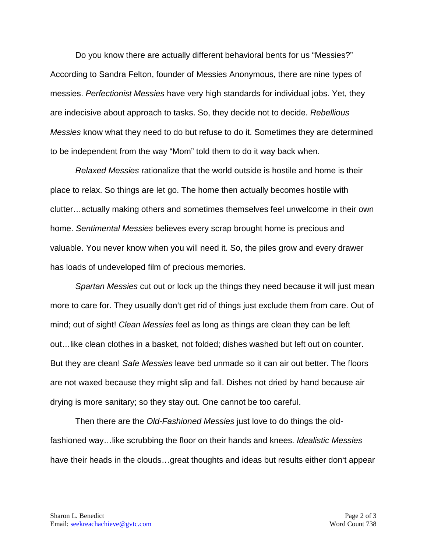Do you know there are actually different behavioral bents for us "Messies?" According to Sandra Felton, founder of Messies Anonymous, there are nine types of messies. *Perfectionist Messies* have very high standards for individual jobs. Yet, they are indecisive about approach to tasks. So, they decide not to decide. *Rebellious Messies* know what they need to do but refuse to do it. Sometimes they are determined to be independent from the way "Mom" told them to do it way back when.

*Relaxed Messies* rationalize that the world outside is hostile and home is their place to relax. So things are let go. The home then actually becomes hostile with clutter…actually making others and sometimes themselves feel unwelcome in their own home. *Sentimental Messies* believes every scrap brought home is precious and valuable. You never know when you will need it. So, the piles grow and every drawer has loads of undeveloped film of precious memories.

*Spartan Messies* cut out or lock up the things they need because it will just mean more to care for. They usually don't get rid of things just exclude them from care. Out of mind; out of sight! *Clean Messies* feel as long as things are clean they can be left out…like clean clothes in a basket, not folded; dishes washed but left out on counter. But they are clean! *Safe Messies* leave bed unmade so it can air out better. The floors are not waxed because they might slip and fall. Dishes not dried by hand because air drying is more sanitary; so they stay out. One cannot be too careful.

Then there are the *Old-Fashioned Messies* just love to do things the oldfashioned way…like scrubbing the floor on their hands and knees. *Idealistic Messies* have their heads in the clouds…great thoughts and ideas but results either don't appear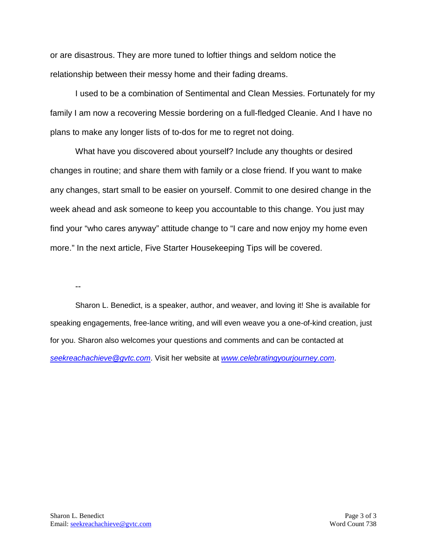or are disastrous. They are more tuned to loftier things and seldom notice the relationship between their messy home and their fading dreams.

I used to be a combination of Sentimental and Clean Messies. Fortunately for my family I am now a recovering Messie bordering on a full-fledged Cleanie. And I have no plans to make any longer lists of to-dos for me to regret not doing.

What have you discovered about yourself? Include any thoughts or desired changes in routine; and share them with family or a close friend. If you want to make any changes, start small to be easier on yourself. Commit to one desired change in the week ahead and ask someone to keep you accountable to this change. You just may find your "who cares anyway" attitude change to "I care and now enjoy my home even more." In the next article, Five Starter Housekeeping Tips will be covered.

--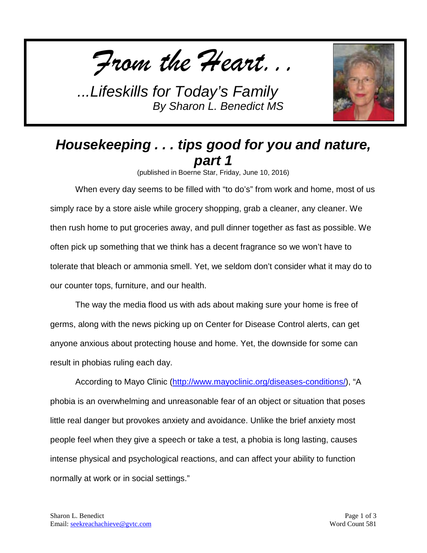*From the Heart...*



## *Housekeeping . . . tips good for you and nature, part 1*

(published in Boerne Star, Friday, June 10, 2016)

When every day seems to be filled with "to do's" from work and home, most of us simply race by a store aisle while grocery shopping, grab a cleaner, any cleaner. We then rush home to put groceries away, and pull dinner together as fast as possible. We often pick up something that we think has a decent fragrance so we won't have to tolerate that bleach or ammonia smell. Yet, we seldom don't consider what it may do to our counter tops, furniture, and our health.

The way the media flood us with ads about making sure your home is free of germs, along with the news picking up on Center for Disease Control alerts, can get anyone anxious about protecting house and home. Yet, the downside for some can result in phobias ruling each day.

According to Mayo Clinic [\(http://www.mayoclinic.org/diseases-conditions/\)](http://www.mayoclinic.org/diseases-conditions/), "A phobia is an overwhelming and unreasonable fear of an object or situation that poses little real danger but provokes anxiety and avoidance. Unlike the brief anxiety most people feel when they give a speech or take a test, a phobia is long lasting, causes intense physical and psychological reactions, and can affect your ability to function normally at work or in social settings."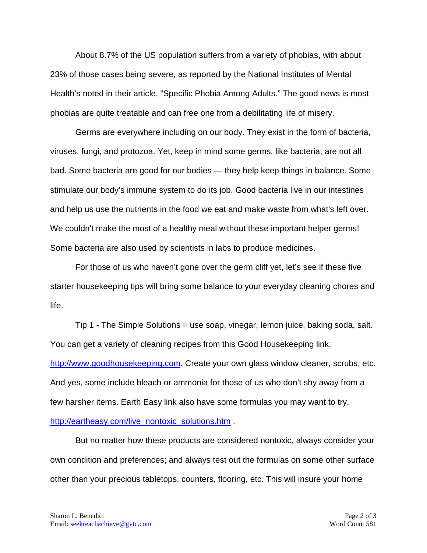About 8.7% of the US population suffers from a variety of phobias, with about 23% of those cases being severe, as reported by the National Institutes of Mental Health's noted in their article, "Specific Phobia Among Adults." The good news is most phobias are quite treatable and can free one from a debilitating life of misery.

Germs are everywhere including on our body. They exist in the form of bacteria, viruses, fungi, and protozoa. Yet, keep in mind some germs, like bacteria, are not all bad. Some bacteria are good for our bodies — they help keep things in balance. Some stimulate our body's immune system to do its job. Good bacteria live in our intestines and help us use the nutrients in the food we eat and make waste from what's left over. We couldn't make the most of a healthy meal without these important helper germs! Some bacteria are also used by scientists in labs to produce medicines.

For those of us who haven't gone over the germ cliff yet, let's see if these five starter housekeeping tips will bring some balance to your everyday cleaning chores and life.

Tip 1 - The Simple Solutions = use soap, vinegar, lemon juice, baking soda, salt. You can get a variety of cleaning recipes from this Good Housekeeping link, [http://www.goodhousekeeping.com.](http://www.goodhousekeeping.com/) Create your own glass window cleaner, scrubs, etc. And yes, some include bleach or ammonia for those of us who don't shy away from a few harsher items. Earth Easy link also have some formulas you may want to try, [http://eartheasy.com/live\\_nontoxic\\_solutions.htm](http://eartheasy.com/live_nontoxic_solutions.htm) .

But no matter how these products are considered nontoxic, always consider your own condition and preferences; and always test out the formulas on some other surface other than your precious tabletops, counters, flooring, etc. This will insure your home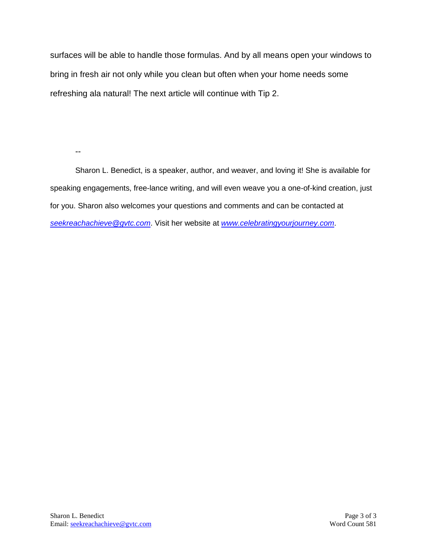surfaces will be able to handle those formulas. And by all means open your windows to bring in fresh air not only while you clean but often when your home needs some refreshing ala natural! The next article will continue with Tip 2.

--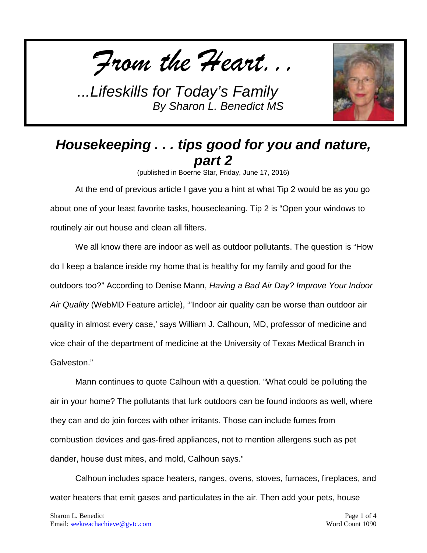*From the Heart...*



## *Housekeeping . . . tips good for you and nature, part 2*

(published in Boerne Star, Friday, June 17, 2016)

At the end of previous article I gave you a hint at what Tip 2 would be as you go about one of your least favorite tasks, housecleaning. Tip 2 is "Open your windows to routinely air out house and clean all filters.

We all know there are indoor as well as outdoor pollutants. The question is "How do I keep a balance inside my home that is healthy for my family and good for the outdoors too?" According to Denise Mann, *Having a Bad Air Day? Improve Your Indoor Air Quality* (WebMD Feature article), "'Indoor air quality can be worse than outdoor air quality in almost every case,' says William J. Calhoun, MD, professor of medicine and vice chair of the department of medicine at the University of Texas Medical Branch in Galveston."

Mann continues to quote Calhoun with a question. "What could be polluting the air in your home? The pollutants that lurk outdoors can be found indoors as well, where they can and do join forces with other irritants. Those can include fumes from combustion devices and gas-fired appliances, not to mention allergens such as pet dander, house dust mites, and mold, Calhoun says."

Calhoun includes space heaters, ranges, ovens, stoves, furnaces, fireplaces, and water heaters that emit gases and particulates in the air. Then add your pets, house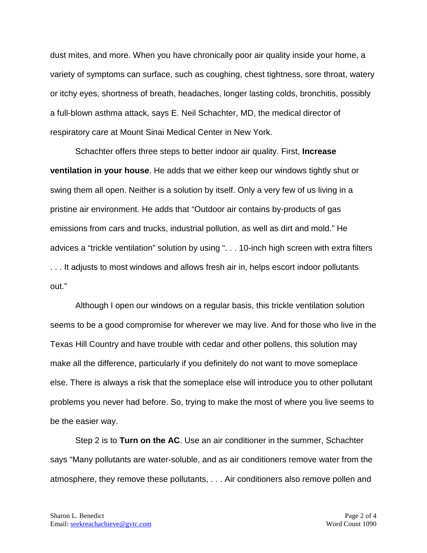dust mites, and more. When you have chronically poor air quality inside your home, a variety of symptoms can surface, such as coughing, chest tightness, sore throat, watery or itchy eyes, shortness of breath, headaches, longer lasting colds, bronchitis, possibly a full-blown asthma attack, says E. Neil Schachter, MD, the medical director of respiratory care at Mount Sinai Medical Center in New York.

Schachter offers three steps to better indoor air quality. First, **Increase ventilation in your house**. He adds that we either keep our windows tightly shut or swing them all open. Neither is a solution by itself. Only a very few of us living in a pristine air environment. He adds that "Outdoor air contains by-products of gas emissions from cars and trucks, industrial pollution, as well as dirt and mold." He advices a "trickle ventilation" solution by using ". . . 10-inch high screen with extra filters . . . It adjusts to most windows and allows fresh air in, helps escort indoor pollutants out."

Although I open our windows on a regular basis, this trickle ventilation solution seems to be a good compromise for wherever we may live. And for those who live in the Texas Hill Country and have trouble with cedar and other pollens, this solution may make all the difference, particularly if you definitely do not want to move someplace else. There is always a risk that the someplace else will introduce you to other pollutant problems you never had before. So, trying to make the most of where you live seems to be the easier way.

Step 2 is to **Turn on the AC**. Use an air conditioner in the summer, Schachter says "Many pollutants are water-soluble, and as air conditioners remove water from the atmosphere, they remove these pollutants, . . . Air conditioners also remove pollen and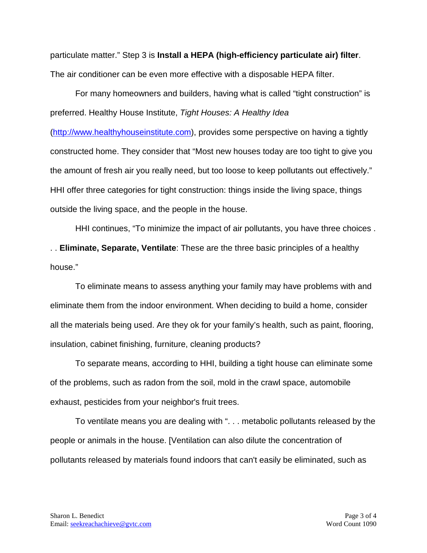particulate matter." Step 3 is **Install a HEPA (high-efficiency particulate air) filter**. The air conditioner can be even more effective with a disposable HEPA filter.

For many homeowners and builders, having what is called "tight construction" is preferred. Healthy House Institute, *Tight Houses: A Healthy Idea*

[\(http://www.healthyhouseinstitute.com\)](http://www.healthyhouseinstitute.com/), provides some perspective on having a tightly constructed home. They consider that "Most new houses today are too tight to give you the amount of fresh air you really need, but too loose to keep pollutants out effectively." HHI offer three categories for tight construction: things inside the living space, things outside the living space, and the people in the house.

HHI continues, "To minimize the impact of air pollutants, you have three choices . . . **Eliminate, Separate, Ventilate**: These are the three basic principles of a healthy house."

To eliminate means to assess anything your family may have problems with and eliminate them from the indoor environment. When deciding to build a home, consider all the materials being used. Are they ok for your family's health, such as paint, flooring, insulation, cabinet finishing, furniture, cleaning products?

To separate means, according to HHI, building a tight house can eliminate some of the problems, such as radon from the soil, mold in the crawl space, automobile exhaust, pesticides from your neighbor's fruit trees.

To ventilate means you are dealing with ". . . metabolic pollutants released by the people or animals in the house. [Ventilation can also dilute the concentration of pollutants released by materials found indoors that can't easily be eliminated, such as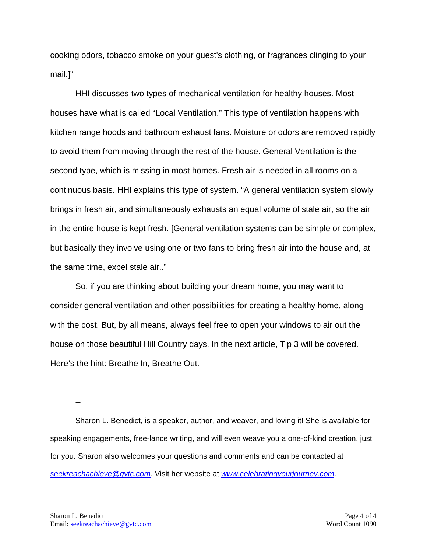cooking odors, tobacco smoke on your guest's clothing, or fragrances clinging to your mail.]"

HHI discusses two types of mechanical ventilation for healthy houses. Most houses have what is called "Local Ventilation." This type of ventilation happens with kitchen range hoods and bathroom exhaust fans. Moisture or odors are removed rapidly to avoid them from moving through the rest of the house. General Ventilation is the second type, which is missing in most homes. Fresh air is needed in all rooms on a continuous basis. HHI explains this type of system. "A general ventilation system slowly brings in fresh air, and simultaneously exhausts an equal volume of stale air, so the air in the entire house is kept fresh. [General ventilation systems can be simple or complex, but basically they involve using one or two fans to bring fresh air into the house and, at the same time, expel stale air.."

So, if you are thinking about building your dream home, you may want to consider general ventilation and other possibilities for creating a healthy home, along with the cost. But, by all means, always feel free to open your windows to air out the house on those beautiful Hill Country days. In the next article, Tip 3 will be covered. Here's the hint: Breathe In, Breathe Out.

--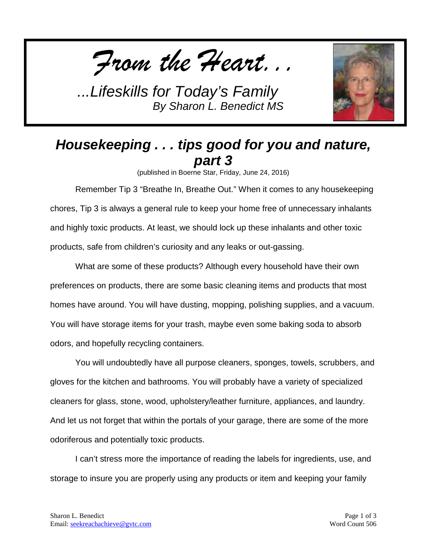*From the Heart...*



## *Housekeeping . . . tips good for you and nature, part 3*

(published in Boerne Star, Friday, June 24, 2016)

Remember Tip 3 "Breathe In, Breathe Out." When it comes to any housekeeping chores, Tip 3 is always a general rule to keep your home free of unnecessary inhalants and highly toxic products. At least, we should lock up these inhalants and other toxic products, safe from children's curiosity and any leaks or out-gassing.

What are some of these products? Although every household have their own preferences on products, there are some basic cleaning items and products that most homes have around. You will have dusting, mopping, polishing supplies, and a vacuum. You will have storage items for your trash, maybe even some baking soda to absorb odors, and hopefully recycling containers.

You will undoubtedly have all purpose cleaners, sponges, towels, scrubbers, and gloves for the kitchen and bathrooms. You will probably have a variety of specialized cleaners for glass, stone, wood, upholstery/leather furniture, appliances, and laundry. And let us not forget that within the portals of your garage, there are some of the more odoriferous and potentially toxic products.

I can't stress more the importance of reading the labels for ingredients, use, and storage to insure you are properly using any products or item and keeping your family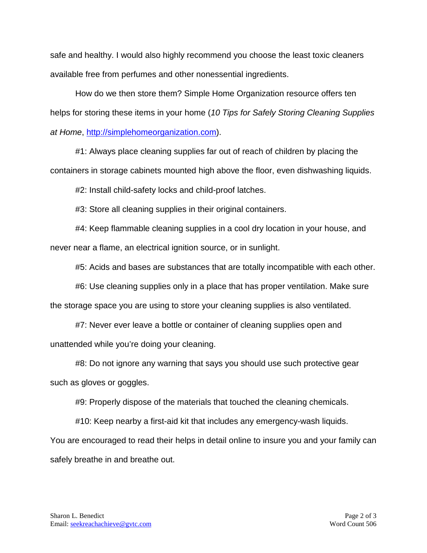safe and healthy. I would also highly recommend you choose the least toxic cleaners available free from perfumes and other nonessential ingredients.

How do we then store them? Simple Home Organization resource offers ten helps for storing these items in your home (*10 Tips for Safely Storing Cleaning Supplies at Home*, [http://simplehomeorganization.com\)](http://simplehomeorganization.com/).

#1: Always place cleaning supplies far out of reach of children by placing the containers in storage cabinets mounted high above the floor, even dishwashing liquids.

#2: Install child-safety locks and child-proof latches.

#3: Store all cleaning supplies in their original containers.

#4: Keep flammable cleaning supplies in a cool dry location in your house, and never near a flame, an electrical ignition source, or in sunlight.

#5: Acids and bases are substances that are totally incompatible with each other.

#6: Use cleaning supplies only in a place that has proper ventilation. Make sure the storage space you are using to store your cleaning supplies is also ventilated.

#7: Never ever leave a bottle or container of cleaning supplies open and unattended while you're doing your cleaning.

#8: Do not ignore any warning that says you should use such protective gear such as gloves or goggles.

#9: Properly dispose of the materials that touched the cleaning chemicals.

#10: Keep nearby a first-aid kit that includes any emergency-wash liquids.

You are encouraged to read their helps in detail online to insure you and your family can safely breathe in and breathe out.